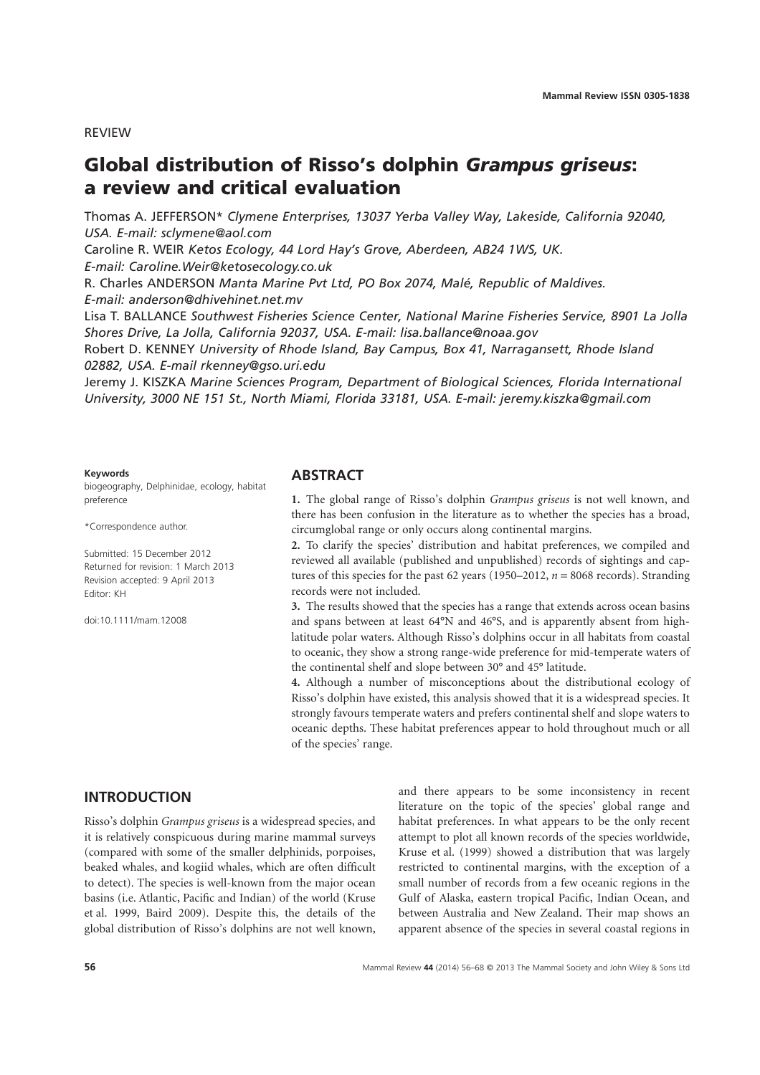REVIEW

# **Global distribution of Risso's dolphin** *Grampus griseus***: a review and critical evaluation**

Thomas A. JEFFERSON\* *Clymene Enterprises, 13037 Yerba Valley Way, Lakeside, California 92040, USA. E-mail: [sclymene@aol.com](mailto:sclymene@aol.com)*

Caroline R. WEIR *Ketos Ecology, 44 Lord Hay's Grove, Aberdeen, AB24 1WS, UK. E-mail: [Caroline.Weir@ketosecology.co.uk](mailto:Caroline.Weir@ketosecology.co.uk)*

R. Charles ANDERSON *Manta Marine Pvt Ltd, PO Box 2074, Malé, Republic of Maldives. E-mail: [anderson@dhivehinet.net.mv](mailto:anderson@dhivehinet.net.mv)*

Lisa T. BALLANCE *Southwest Fisheries Science Center, National Marine Fisheries Service, 8901 La Jolla Shores Drive, La Jolla, California 92037, USA. E-mail: [lisa.ballance@noaa.gov](mailto:lisa.ballance@noaa.gov)*

Robert D. KENNEY *University of Rhode Island, Bay Campus, Box 41, Narragansett, Rhode Island 02882, USA. E-mail [rkenney@gso.uri.edu](mailto:rkenney@gso.uri.edu)*

Jeremy J. KISZKA *Marine Sciences Program, Department of Biological Sciences, Florida International University, 3000 NE 151 St., North Miami, Florida 33181, USA. E-mail: [jeremy.kiszka@gmail.com](mailto:jeremy.kiszka@gmail.com)*

#### **Keywords**

biogeography, Delphinidae, ecology, habitat preference

\*Correspondence author.

Submitted: 15 December 2012 Returned for revision: 1 March 2013 Revision accepted: 9 April 2013 Editor: KH

doi:10.1111/mam.12008

# **ABSTRACT**

**1.** The global range of Risso's dolphin *Grampus griseus* is not well known, and there has been confusion in the literature as to whether the species has a broad, circumglobal range or only occurs along continental margins.

**2.** To clarify the species' distribution and habitat preferences, we compiled and reviewed all available (published and unpublished) records of sightings and captures of this species for the past 62 years (1950–2012, *n* = 8068 records). Stranding records were not included.

**3.** The results showed that the species has a range that extends across ocean basins and spans between at least 64°N and 46°S, and is apparently absent from highlatitude polar waters. Although Risso's dolphins occur in all habitats from coastal to oceanic, they show a strong range-wide preference for mid-temperate waters of the continental shelf and slope between 30° and 45° latitude.

**4.** Although a number of misconceptions about the distributional ecology of Risso's dolphin have existed, this analysis showed that it is a widespread species. It strongly favours temperate waters and prefers continental shelf and slope waters to oceanic depths. These habitat preferences appear to hold throughout much or all of the species' range.

# **INTRODUCTION**

Risso's dolphin *Grampus griseus* is a widespread species, and it is relatively conspicuous during marine mammal surveys (compared with some of the smaller delphinids, porpoises, beaked whales, and kogiid whales, which are often difficult to detect). The species is well-known from the major ocean basins (i.e. Atlantic, Pacific and Indian) of the world (Kruse et al. 1999, Baird 2009). Despite this, the details of the global distribution of Risso's dolphins are not well known, and there appears to be some inconsistency in recent literature on the topic of the species' global range and habitat preferences. In what appears to be the only recent attempt to plot all known records of the species worldwide, Kruse et al. (1999) showed a distribution that was largely restricted to continental margins, with the exception of a small number of records from a few oceanic regions in the Gulf of Alaska, eastern tropical Pacific, Indian Ocean, and between Australia and New Zealand. Their map shows an apparent absence of the species in several coastal regions in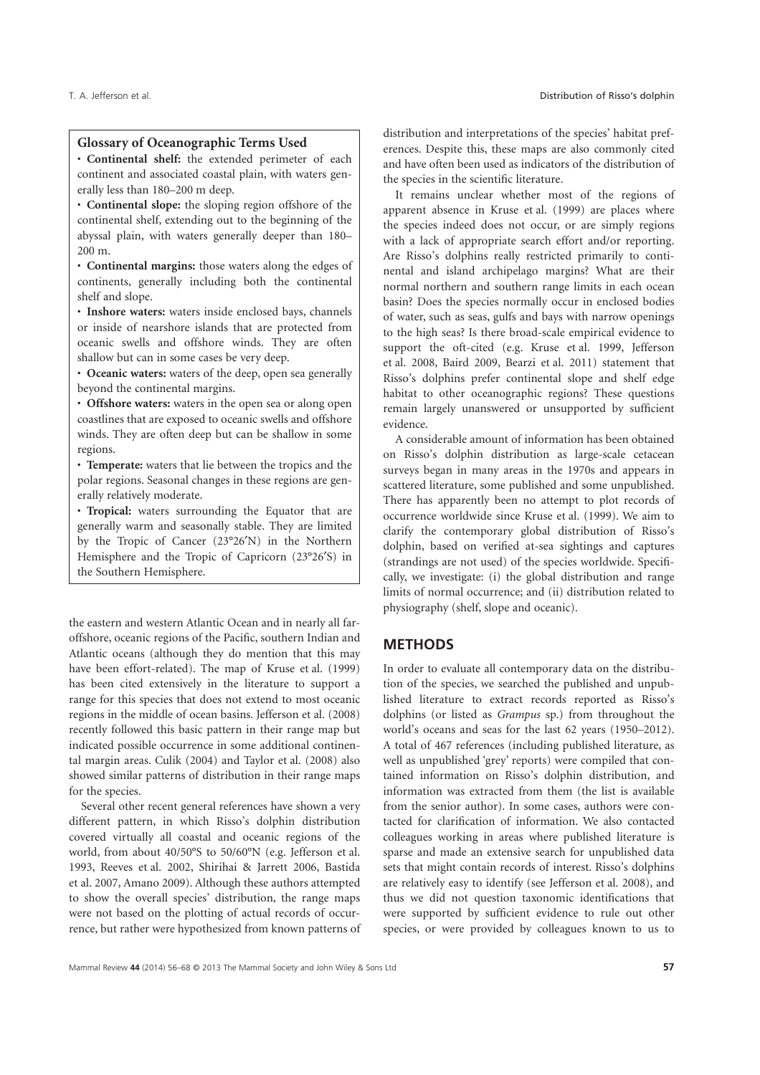#### **Glossary of Oceanographic Terms Used**

• **Continental shelf:** the extended perimeter of each continent and associated coastal plain, with waters generally less than 180–200 m deep.

• **Continental slope:** the sloping region offshore of the continental shelf, extending out to the beginning of the abyssal plain, with waters generally deeper than 180– 200 m.

• **Continental margins:** those waters along the edges of continents, generally including both the continental shelf and slope.

• **Inshore waters:** waters inside enclosed bays, channels or inside of nearshore islands that are protected from oceanic swells and offshore winds. They are often shallow but can in some cases be very deep.

• **Oceanic waters:** waters of the deep, open sea generally beyond the continental margins.

• **Offshore waters:** waters in the open sea or along open coastlines that are exposed to oceanic swells and offshore winds. They are often deep but can be shallow in some regions.

• **Temperate:** waters that lie between the tropics and the polar regions. Seasonal changes in these regions are generally relatively moderate.

• **Tropical:** waters surrounding the Equator that are generally warm and seasonally stable. They are limited by the Tropic of Cancer (23°26′N) in the Northern Hemisphere and the Tropic of Capricorn (23°26′S) in the Southern Hemisphere.

the eastern and western Atlantic Ocean and in nearly all faroffshore, oceanic regions of the Pacific, southern Indian and Atlantic oceans (although they do mention that this may have been effort-related). The map of Kruse et al. (1999) has been cited extensively in the literature to support a range for this species that does not extend to most oceanic regions in the middle of ocean basins. Jefferson et al. (2008) recently followed this basic pattern in their range map but indicated possible occurrence in some additional continental margin areas. Culik (2004) and Taylor et al. (2008) also showed similar patterns of distribution in their range maps for the species.

Several other recent general references have shown a very different pattern, in which Risso's dolphin distribution covered virtually all coastal and oceanic regions of the world, from about 40/50°S to 50/60°N (e.g. Jefferson et al. 1993, Reeves et al. 2002, Shirihai & Jarrett 2006, Bastida et al. 2007, Amano 2009). Although these authors attempted to show the overall species' distribution, the range maps were not based on the plotting of actual records of occurrence, but rather were hypothesized from known patterns of distribution and interpretations of the species' habitat preferences. Despite this, these maps are also commonly cited and have often been used as indicators of the distribution of the species in the scientific literature.

It remains unclear whether most of the regions of apparent absence in Kruse et al. (1999) are places where the species indeed does not occur, or are simply regions with a lack of appropriate search effort and/or reporting. Are Risso's dolphins really restricted primarily to continental and island archipelago margins? What are their normal northern and southern range limits in each ocean basin? Does the species normally occur in enclosed bodies of water, such as seas, gulfs and bays with narrow openings to the high seas? Is there broad-scale empirical evidence to support the oft-cited (e.g. Kruse et al. 1999, Jefferson et al. 2008, Baird 2009, Bearzi et al. 2011) statement that Risso's dolphins prefer continental slope and shelf edge habitat to other oceanographic regions? These questions remain largely unanswered or unsupported by sufficient evidence.

A considerable amount of information has been obtained on Risso's dolphin distribution as large-scale cetacean surveys began in many areas in the 1970s and appears in scattered literature, some published and some unpublished. There has apparently been no attempt to plot records of occurrence worldwide since Kruse et al. (1999). We aim to clarify the contemporary global distribution of Risso's dolphin, based on verified at-sea sightings and captures (strandings are not used) of the species worldwide. Specifically, we investigate: (i) the global distribution and range limits of normal occurrence; and (ii) distribution related to physiography (shelf, slope and oceanic).

#### **METHODS**

In order to evaluate all contemporary data on the distribution of the species, we searched the published and unpublished literature to extract records reported as Risso's dolphins (or listed as *Grampus* sp.) from throughout the world's oceans and seas for the last 62 years (1950–2012). A total of 467 references (including published literature, as well as unpublished 'grey' reports) were compiled that contained information on Risso's dolphin distribution, and information was extracted from them (the list is available from the senior author). In some cases, authors were contacted for clarification of information. We also contacted colleagues working in areas where published literature is sparse and made an extensive search for unpublished data sets that might contain records of interest. Risso's dolphins are relatively easy to identify (see Jefferson et al. 2008), and thus we did not question taxonomic identifications that were supported by sufficient evidence to rule out other species, or were provided by colleagues known to us to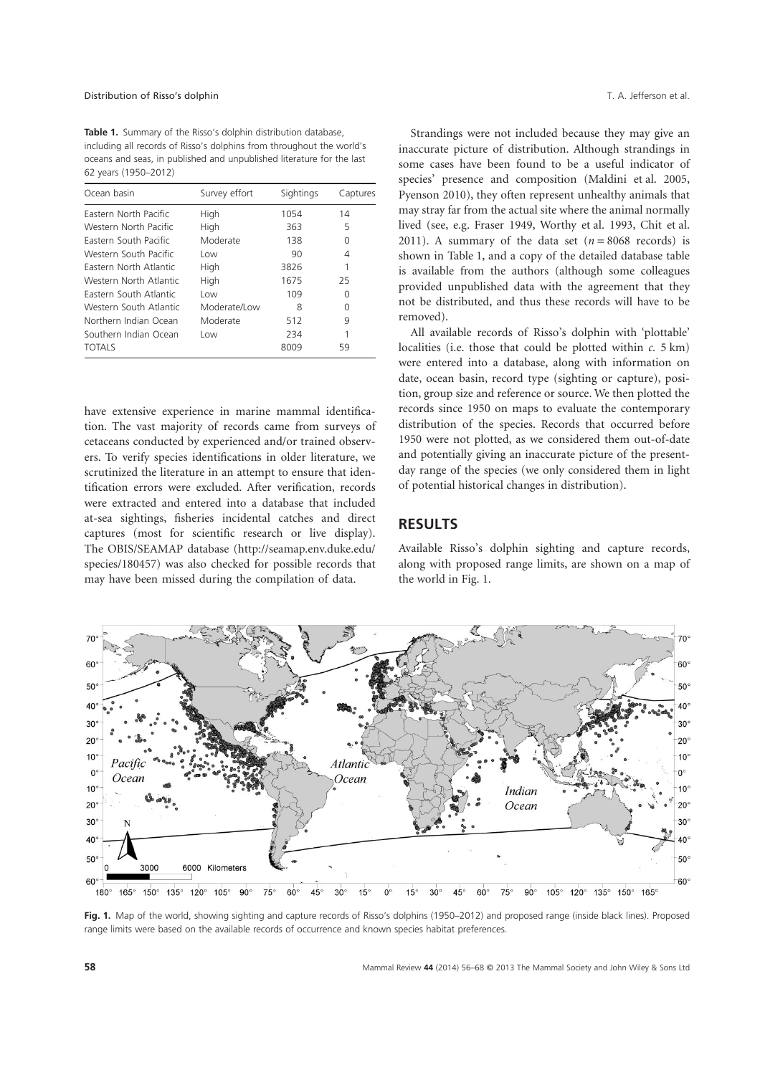**Table 1.** Summary of the Risso's dolphin distribution database, including all records of Risso's dolphins from throughout the world's oceans and seas, in published and unpublished literature for the last 62 years (1950–2012)

| Ocean basin            | Survey effort | Sightings | Captures |
|------------------------|---------------|-----------|----------|
| Eastern North Pacific  | High          | 1054      | 14       |
| Western North Pacific  | High          | 363       | 5        |
| Eastern South Pacific  | Moderate      | 138       | 0        |
| Western South Pacific  | Low           | 90        | 4        |
| Eastern North Atlantic | High          | 3826      | 1        |
| Western North Atlantic | High          | 1675      | 25       |
| Eastern South Atlantic | Low           | 109       | O        |
| Western South Atlantic | Moderate/Low  | 8         | O        |
| Northern Indian Ocean  | Moderate      | 512       | 9        |
| Southern Indian Ocean  | Low           | 234       |          |
| <b>TOTALS</b>          |               | 8009      | 59       |

have extensive experience in marine mammal identification. The vast majority of records came from surveys of cetaceans conducted by experienced and/or trained observers. To verify species identifications in older literature, we scrutinized the literature in an attempt to ensure that identification errors were excluded. After verification, records were extracted and entered into a database that included at-sea sightings, fisheries incidental catches and direct captures (most for scientific research or live display). The OBIS/SEAMAP database [\(http://seamap.env.duke.edu/](http://seamap.env.duke.edu/species/180457) [species/180457\)](http://seamap.env.duke.edu/species/180457) was also checked for possible records that may have been missed during the compilation of data.

Strandings were not included because they may give an inaccurate picture of distribution. Although strandings in some cases have been found to be a useful indicator of species' presence and composition (Maldini et al. 2005, Pyenson 2010), they often represent unhealthy animals that may stray far from the actual site where the animal normally lived (see, e.g. Fraser 1949, Worthy et al. 1993, Chit et al. 2011). A summary of the data set  $(n = 8068 \text{ records})$  is shown in Table 1, and a copy of the detailed database table is available from the authors (although some colleagues provided unpublished data with the agreement that they not be distributed, and thus these records will have to be removed).

All available records of Risso's dolphin with 'plottable' localities (i.e. those that could be plotted within *c.* 5 km) were entered into a database, along with information on date, ocean basin, record type (sighting or capture), position, group size and reference or source. We then plotted the records since 1950 on maps to evaluate the contemporary distribution of the species. Records that occurred before 1950 were not plotted, as we considered them out-of-date and potentially giving an inaccurate picture of the presentday range of the species (we only considered them in light of potential historical changes in distribution).

# **RESULTS**

Available Risso's dolphin sighting and capture records, along with proposed range limits, are shown on a map of the world in Fig. 1.



**Fig. 1.** Map of the world, showing sighting and capture records of Risso's dolphins (1950–2012) and proposed range (inside black lines). Proposed range limits were based on the available records of occurrence and known species habitat preferences.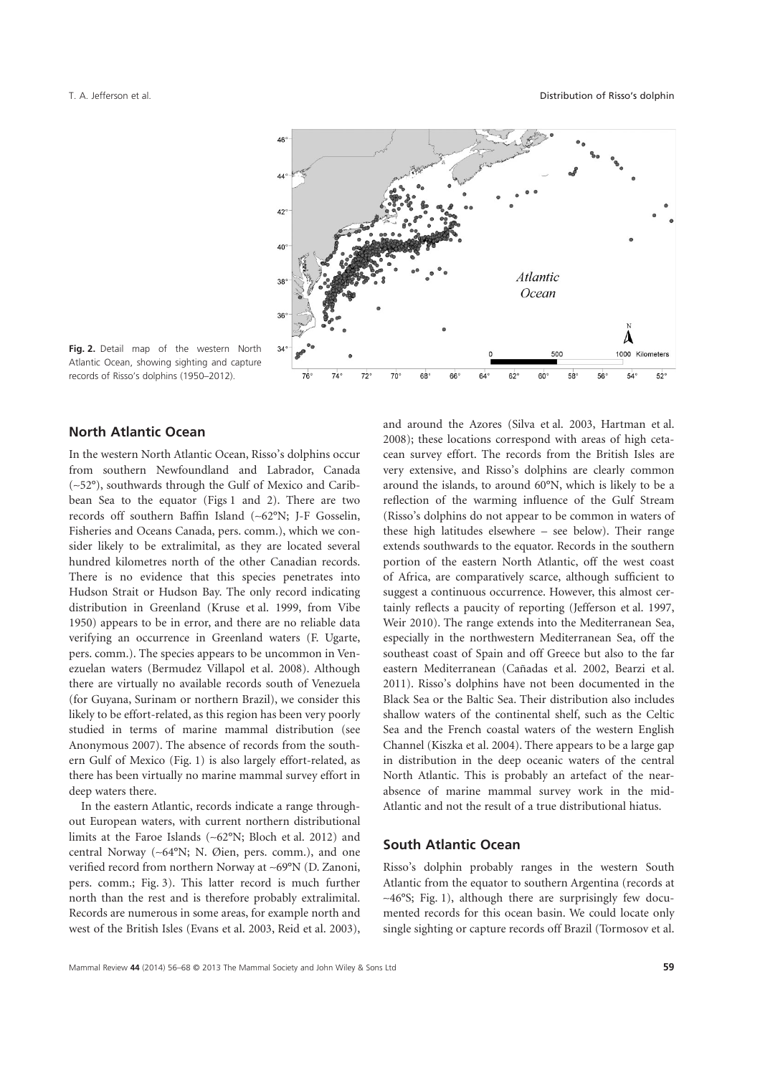

**Fig. 2.** Detail map of the western North Atlantic Ocean, showing sighting and capture records of Risso's dolphins (1950–2012).

# **North Atlantic Ocean**

In the western North Atlantic Ocean, Risso's dolphins occur from southern Newfoundland and Labrador, Canada (~52°), southwards through the Gulf of Mexico and Caribbean Sea to the equator (Figs 1 and 2). There are two records off southern Baffin Island (~62°N; J-F Gosselin, Fisheries and Oceans Canada, pers. comm.), which we consider likely to be extralimital, as they are located several hundred kilometres north of the other Canadian records. There is no evidence that this species penetrates into Hudson Strait or Hudson Bay. The only record indicating distribution in Greenland (Kruse et al. 1999, from Vibe 1950) appears to be in error, and there are no reliable data verifying an occurrence in Greenland waters (F. Ugarte, pers. comm.). The species appears to be uncommon in Venezuelan waters (Bermudez Villapol et al. 2008). Although there are virtually no available records south of Venezuela (for Guyana, Surinam or northern Brazil), we consider this likely to be effort-related, as this region has been very poorly studied in terms of marine mammal distribution (see Anonymous 2007). The absence of records from the southern Gulf of Mexico (Fig. 1) is also largely effort-related, as there has been virtually no marine mammal survey effort in deep waters there.

In the eastern Atlantic, records indicate a range throughout European waters, with current northern distributional limits at the Faroe Islands (~62°N; Bloch et al. 2012) and central Norway (~64°N; N. Øien, pers. comm.), and one verified record from northern Norway at ~69°N (D. Zanoni, pers. comm.; Fig. 3). This latter record is much further north than the rest and is therefore probably extralimital. Records are numerous in some areas, for example north and west of the British Isles (Evans et al. 2003, Reid et al. 2003),

and around the Azores (Silva et al. 2003, Hartman et al. 2008); these locations correspond with areas of high cetacean survey effort. The records from the British Isles are very extensive, and Risso's dolphins are clearly common around the islands, to around 60°N, which is likely to be a reflection of the warming influence of the Gulf Stream (Risso's dolphins do not appear to be common in waters of these high latitudes elsewhere – see below). Their range extends southwards to the equator. Records in the southern portion of the eastern North Atlantic, off the west coast of Africa, are comparatively scarce, although sufficient to suggest a continuous occurrence. However, this almost certainly reflects a paucity of reporting (Jefferson et al. 1997, Weir 2010). The range extends into the Mediterranean Sea, especially in the northwestern Mediterranean Sea, off the southeast coast of Spain and off Greece but also to the far eastern Mediterranean (Cañadas et al. 2002, Bearzi et al. 2011). Risso's dolphins have not been documented in the Black Sea or the Baltic Sea. Their distribution also includes shallow waters of the continental shelf, such as the Celtic Sea and the French coastal waters of the western English Channel (Kiszka et al. 2004). There appears to be a large gap in distribution in the deep oceanic waters of the central North Atlantic. This is probably an artefact of the nearabsence of marine mammal survey work in the mid-Atlantic and not the result of a true distributional hiatus.

# **South Atlantic Ocean**

Risso's dolphin probably ranges in the western South Atlantic from the equator to southern Argentina (records at ~46°S; Fig. 1), although there are surprisingly few documented records for this ocean basin. We could locate only single sighting or capture records off Brazil (Tormosov et al.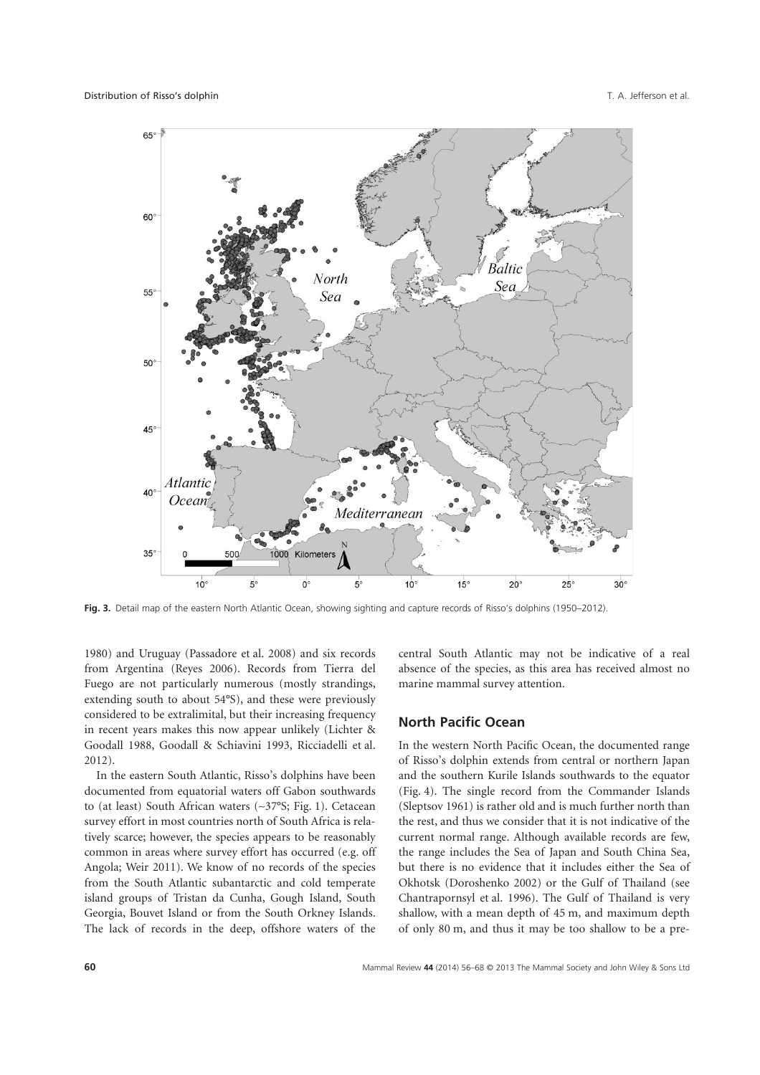

**Fig. 3.** Detail map of the eastern North Atlantic Ocean, showing sighting and capture records of Risso's dolphins (1950–2012).

1980) and Uruguay (Passadore et al. 2008) and six records from Argentina (Reyes 2006). Records from Tierra del Fuego are not particularly numerous (mostly strandings, extending south to about 54°S), and these were previously considered to be extralimital, but their increasing frequency in recent years makes this now appear unlikely (Lichter & Goodall 1988, Goodall & Schiavini 1993, Ricciadelli et al. 2012).

In the eastern South Atlantic, Risso's dolphins have been documented from equatorial waters off Gabon southwards to (at least) South African waters (~37°S; Fig. 1). Cetacean survey effort in most countries north of South Africa is relatively scarce; however, the species appears to be reasonably common in areas where survey effort has occurred (e.g. off Angola; Weir 2011). We know of no records of the species from the South Atlantic subantarctic and cold temperate island groups of Tristan da Cunha, Gough Island, South Georgia, Bouvet Island or from the South Orkney Islands. The lack of records in the deep, offshore waters of the central South Atlantic may not be indicative of a real absence of the species, as this area has received almost no marine mammal survey attention.

#### **North Pacific Ocean**

In the western North Pacific Ocean, the documented range of Risso's dolphin extends from central or northern Japan and the southern Kurile Islands southwards to the equator (Fig. 4). The single record from the Commander Islands (Sleptsov 1961) is rather old and is much further north than the rest, and thus we consider that it is not indicative of the current normal range. Although available records are few, the range includes the Sea of Japan and South China Sea, but there is no evidence that it includes either the Sea of Okhotsk (Doroshenko 2002) or the Gulf of Thailand (see Chantrapornsyl et al. 1996). The Gulf of Thailand is very shallow, with a mean depth of 45 m, and maximum depth of only 80 m, and thus it may be too shallow to be a pre-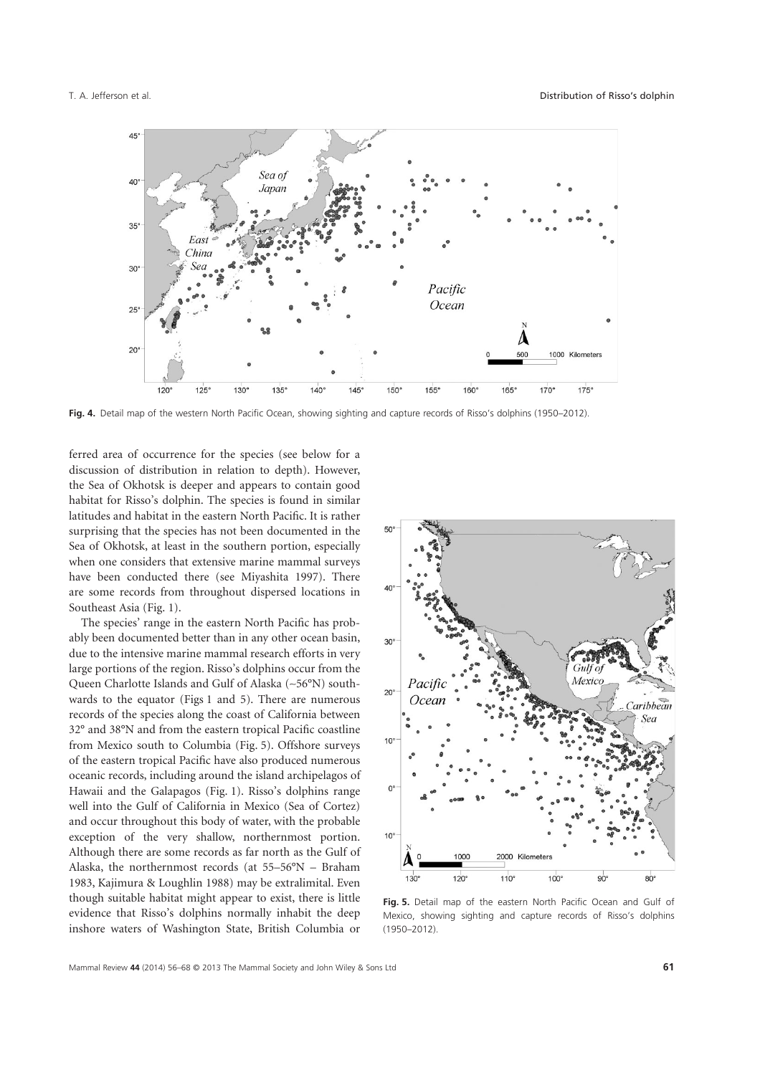

**Fig. 4.** Detail map of the western North Pacific Ocean, showing sighting and capture records of Risso's dolphins (1950–2012).

ferred area of occurrence for the species (see below for a discussion of distribution in relation to depth). However, the Sea of Okhotsk is deeper and appears to contain good habitat for Risso's dolphin. The species is found in similar latitudes and habitat in the eastern North Pacific. It is rather surprising that the species has not been documented in the Sea of Okhotsk, at least in the southern portion, especially when one considers that extensive marine mammal surveys have been conducted there (see Miyashita 1997). There are some records from throughout dispersed locations in Southeast Asia (Fig. 1).

The species' range in the eastern North Pacific has probably been documented better than in any other ocean basin, due to the intensive marine mammal research efforts in very large portions of the region. Risso's dolphins occur from the Queen Charlotte Islands and Gulf of Alaska (~56°N) southwards to the equator (Figs 1 and 5). There are numerous records of the species along the coast of California between 32° and 38°N and from the eastern tropical Pacific coastline from Mexico south to Columbia (Fig. 5). Offshore surveys of the eastern tropical Pacific have also produced numerous oceanic records, including around the island archipelagos of Hawaii and the Galapagos (Fig. 1). Risso's dolphins range well into the Gulf of California in Mexico (Sea of Cortez) and occur throughout this body of water, with the probable exception of the very shallow, northernmost portion. Although there are some records as far north as the Gulf of Alaska, the northernmost records (at 55–56°N – Braham 1983, Kajimura & Loughlin 1988) may be extralimital. Even though suitable habitat might appear to exist, there is little evidence that Risso's dolphins normally inhabit the deep inshore waters of Washington State, British Columbia or



**Fig. 5.** Detail map of the eastern North Pacific Ocean and Gulf of Mexico, showing sighting and capture records of Risso's dolphins (1950–2012).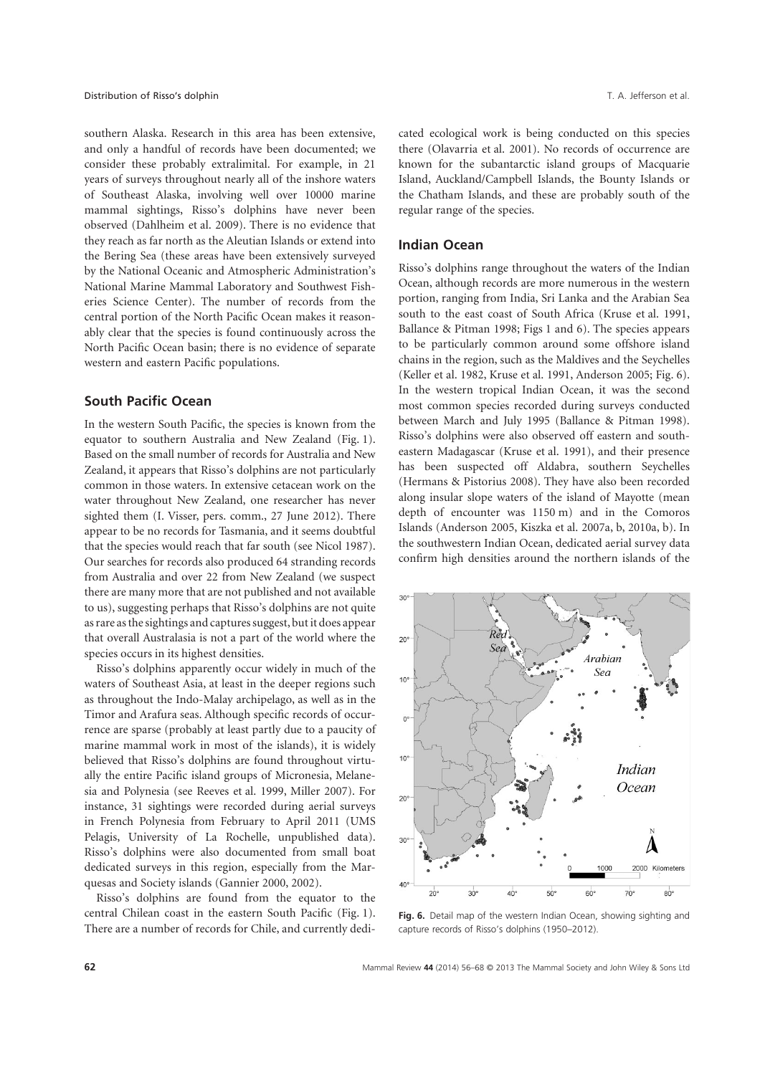southern Alaska. Research in this area has been extensive, and only a handful of records have been documented; we consider these probably extralimital. For example, in 21 years of surveys throughout nearly all of the inshore waters of Southeast Alaska, involving well over 10000 marine mammal sightings, Risso's dolphins have never been observed (Dahlheim et al. 2009). There is no evidence that they reach as far north as the Aleutian Islands or extend into the Bering Sea (these areas have been extensively surveyed by the National Oceanic and Atmospheric Administration's National Marine Mammal Laboratory and Southwest Fisheries Science Center). The number of records from the central portion of the North Pacific Ocean makes it reasonably clear that the species is found continuously across the North Pacific Ocean basin; there is no evidence of separate western and eastern Pacific populations.

#### **South Pacific Ocean**

In the western South Pacific, the species is known from the equator to southern Australia and New Zealand (Fig. 1). Based on the small number of records for Australia and New Zealand, it appears that Risso's dolphins are not particularly common in those waters. In extensive cetacean work on the water throughout New Zealand, one researcher has never sighted them (I. Visser, pers. comm., 27 June 2012). There appear to be no records for Tasmania, and it seems doubtful that the species would reach that far south (see Nicol 1987). Our searches for records also produced 64 stranding records from Australia and over 22 from New Zealand (we suspect there are many more that are not published and not available to us), suggesting perhaps that Risso's dolphins are not quite as rare as the sightings and captures suggest, but it does appear that overall Australasia is not a part of the world where the species occurs in its highest densities.

Risso's dolphins apparently occur widely in much of the waters of Southeast Asia, at least in the deeper regions such as throughout the Indo-Malay archipelago, as well as in the Timor and Arafura seas. Although specific records of occurrence are sparse (probably at least partly due to a paucity of marine mammal work in most of the islands), it is widely believed that Risso's dolphins are found throughout virtually the entire Pacific island groups of Micronesia, Melanesia and Polynesia (see Reeves et al. 1999, Miller 2007). For instance, 31 sightings were recorded during aerial surveys in French Polynesia from February to April 2011 (UMS Pelagis, University of La Rochelle, unpublished data). Risso's dolphins were also documented from small boat dedicated surveys in this region, especially from the Marquesas and Society islands (Gannier 2000, 2002).

Risso's dolphins are found from the equator to the central Chilean coast in the eastern South Pacific (Fig. 1). There are a number of records for Chile, and currently dedicated ecological work is being conducted on this species there (Olavarria et al. 2001). No records of occurrence are known for the subantarctic island groups of Macquarie Island, Auckland/Campbell Islands, the Bounty Islands or the Chatham Islands, and these are probably south of the regular range of the species.

#### **Indian Ocean**

Risso's dolphins range throughout the waters of the Indian Ocean, although records are more numerous in the western portion, ranging from India, Sri Lanka and the Arabian Sea south to the east coast of South Africa (Kruse et al. 1991, Ballance & Pitman 1998; Figs 1 and 6). The species appears to be particularly common around some offshore island chains in the region, such as the Maldives and the Seychelles (Keller et al. 1982, Kruse et al. 1991, Anderson 2005; Fig. 6). In the western tropical Indian Ocean, it was the second most common species recorded during surveys conducted between March and July 1995 (Ballance & Pitman 1998). Risso's dolphins were also observed off eastern and southeastern Madagascar (Kruse et al. 1991), and their presence has been suspected off Aldabra, southern Seychelles (Hermans & Pistorius 2008). They have also been recorded along insular slope waters of the island of Mayotte (mean depth of encounter was 1150 m) and in the Comoros Islands (Anderson 2005, Kiszka et al. 2007a, b, 2010a, b). In the southwestern Indian Ocean, dedicated aerial survey data confirm high densities around the northern islands of the



**Fig. 6.** Detail map of the western Indian Ocean, showing sighting and capture records of Risso's dolphins (1950–2012).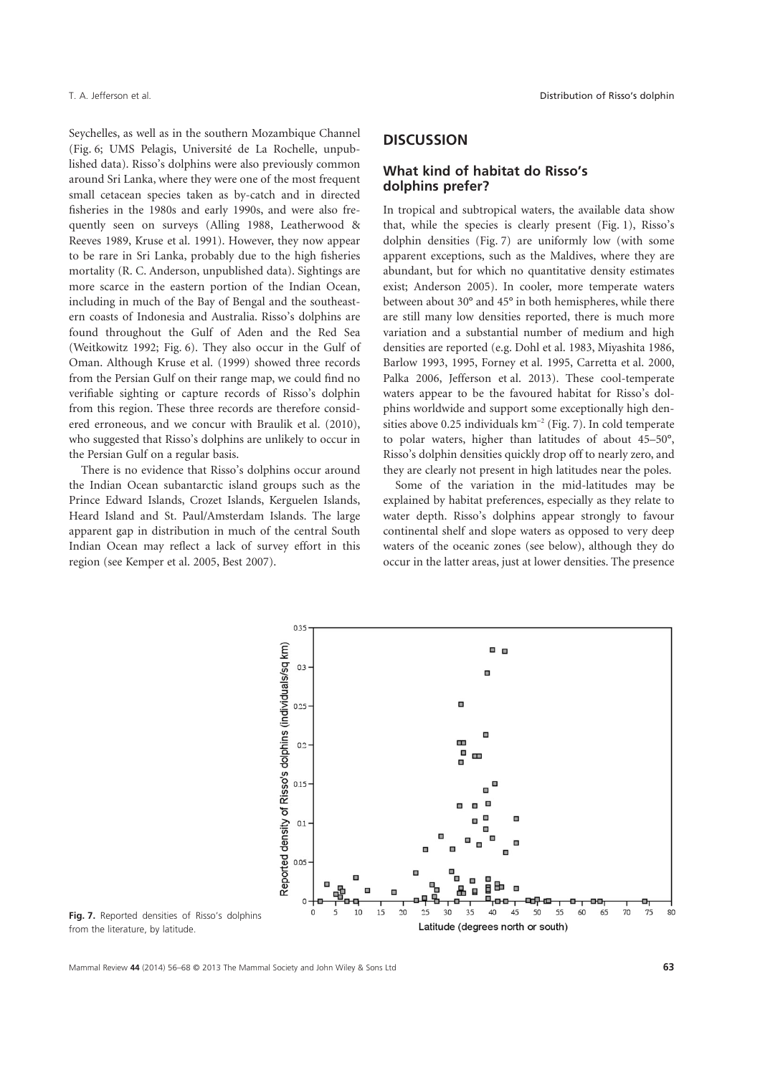Seychelles, as well as in the southern Mozambique Channel (Fig. 6; UMS Pelagis, Université de La Rochelle, unpublished data). Risso's dolphins were also previously common around Sri Lanka, where they were one of the most frequent small cetacean species taken as by-catch and in directed fisheries in the 1980s and early 1990s, and were also frequently seen on surveys (Alling 1988, Leatherwood & Reeves 1989, Kruse et al. 1991). However, they now appear to be rare in Sri Lanka, probably due to the high fisheries mortality (R. C. Anderson, unpublished data). Sightings are more scarce in the eastern portion of the Indian Ocean, including in much of the Bay of Bengal and the southeastern coasts of Indonesia and Australia. Risso's dolphins are found throughout the Gulf of Aden and the Red Sea (Weitkowitz 1992; Fig. 6). They also occur in the Gulf of Oman. Although Kruse et al. (1999) showed three records from the Persian Gulf on their range map, we could find no verifiable sighting or capture records of Risso's dolphin from this region. These three records are therefore considered erroneous, and we concur with Braulik et al. (2010), who suggested that Risso's dolphins are unlikely to occur in the Persian Gulf on a regular basis.

There is no evidence that Risso's dolphins occur around the Indian Ocean subantarctic island groups such as the Prince Edward Islands, Crozet Islands, Kerguelen Islands, Heard Island and St. Paul/Amsterdam Islands. The large apparent gap in distribution in much of the central South Indian Ocean may reflect a lack of survey effort in this region (see Kemper et al. 2005, Best 2007).

# **DISCUSSION**

#### **What kind of habitat do Risso's dolphins prefer?**

In tropical and subtropical waters, the available data show that, while the species is clearly present (Fig. 1), Risso's dolphin densities (Fig. 7) are uniformly low (with some apparent exceptions, such as the Maldives, where they are abundant, but for which no quantitative density estimates exist; Anderson 2005). In cooler, more temperate waters between about 30° and 45° in both hemispheres, while there are still many low densities reported, there is much more variation and a substantial number of medium and high densities are reported (e.g. Dohl et al. 1983, Miyashita 1986, Barlow 1993, 1995, Forney et al. 1995, Carretta et al. 2000, Palka 2006, Jefferson et al. 2013). These cool-temperate waters appear to be the favoured habitat for Risso's dolphins worldwide and support some exceptionally high densities above 0.25 individuals  $km^{-2}$  (Fig. 7). In cold temperate to polar waters, higher than latitudes of about 45–50°, Risso's dolphin densities quickly drop off to nearly zero, and they are clearly not present in high latitudes near the poles.

Some of the variation in the mid-latitudes may be explained by habitat preferences, especially as they relate to water depth. Risso's dolphins appear strongly to favour continental shelf and slope waters as opposed to very deep waters of the oceanic zones (see below), although they do occur in the latter areas, just at lower densities. The presence



**Fig. 7.** Reported densities of Risso's dolphins from the literature, by latitude.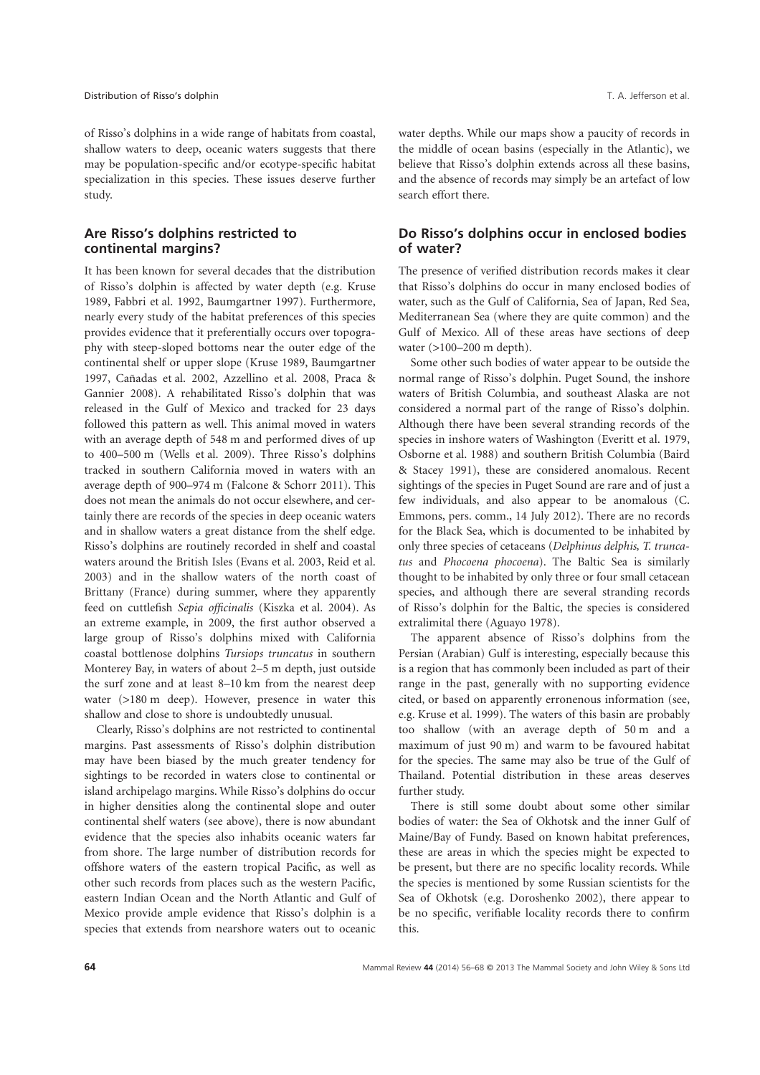of Risso's dolphins in a wide range of habitats from coastal, shallow waters to deep, oceanic waters suggests that there may be population-specific and/or ecotype-specific habitat specialization in this species. These issues deserve further study.

# **Are Risso's dolphins restricted to continental margins?**

It has been known for several decades that the distribution of Risso's dolphin is affected by water depth (e.g. Kruse 1989, Fabbri et al. 1992, Baumgartner 1997). Furthermore, nearly every study of the habitat preferences of this species provides evidence that it preferentially occurs over topography with steep-sloped bottoms near the outer edge of the continental shelf or upper slope (Kruse 1989, Baumgartner 1997, Cañadas et al. 2002, Azzellino et al. 2008, Praca & Gannier 2008). A rehabilitated Risso's dolphin that was released in the Gulf of Mexico and tracked for 23 days followed this pattern as well. This animal moved in waters with an average depth of 548 m and performed dives of up to 400–500 m (Wells et al. 2009). Three Risso's dolphins tracked in southern California moved in waters with an average depth of 900–974 m (Falcone & Schorr 2011). This does not mean the animals do not occur elsewhere, and certainly there are records of the species in deep oceanic waters and in shallow waters a great distance from the shelf edge. Risso's dolphins are routinely recorded in shelf and coastal waters around the British Isles (Evans et al. 2003, Reid et al. 2003) and in the shallow waters of the north coast of Brittany (France) during summer, where they apparently feed on cuttlefish *Sepia officinalis* (Kiszka et al. 2004). As an extreme example, in 2009, the first author observed a large group of Risso's dolphins mixed with California coastal bottlenose dolphins *Tursiops truncatus* in southern Monterey Bay, in waters of about 2–5 m depth, just outside the surf zone and at least 8–10 km from the nearest deep water (>180 m deep). However, presence in water this shallow and close to shore is undoubtedly unusual.

Clearly, Risso's dolphins are not restricted to continental margins. Past assessments of Risso's dolphin distribution may have been biased by the much greater tendency for sightings to be recorded in waters close to continental or island archipelago margins. While Risso's dolphins do occur in higher densities along the continental slope and outer continental shelf waters (see above), there is now abundant evidence that the species also inhabits oceanic waters far from shore. The large number of distribution records for offshore waters of the eastern tropical Pacific, as well as other such records from places such as the western Pacific, eastern Indian Ocean and the North Atlantic and Gulf of Mexico provide ample evidence that Risso's dolphin is a species that extends from nearshore waters out to oceanic water depths. While our maps show a paucity of records in the middle of ocean basins (especially in the Atlantic), we believe that Risso's dolphin extends across all these basins, and the absence of records may simply be an artefact of low search effort there.

### **Do Risso's dolphins occur in enclosed bodies of water?**

The presence of verified distribution records makes it clear that Risso's dolphins do occur in many enclosed bodies of water, such as the Gulf of California, Sea of Japan, Red Sea, Mediterranean Sea (where they are quite common) and the Gulf of Mexico. All of these areas have sections of deep water (>100–200 m depth).

Some other such bodies of water appear to be outside the normal range of Risso's dolphin. Puget Sound, the inshore waters of British Columbia, and southeast Alaska are not considered a normal part of the range of Risso's dolphin. Although there have been several stranding records of the species in inshore waters of Washington (Everitt et al. 1979, Osborne et al. 1988) and southern British Columbia (Baird & Stacey 1991), these are considered anomalous. Recent sightings of the species in Puget Sound are rare and of just a few individuals, and also appear to be anomalous (C. Emmons, pers. comm., 14 July 2012). There are no records for the Black Sea, which is documented to be inhabited by only three species of cetaceans (*Delphinus delphis, T. truncatus* and *Phocoena phocoena*). The Baltic Sea is similarly thought to be inhabited by only three or four small cetacean species, and although there are several stranding records of Risso's dolphin for the Baltic, the species is considered extralimital there (Aguayo 1978).

The apparent absence of Risso's dolphins from the Persian (Arabian) Gulf is interesting, especially because this is a region that has commonly been included as part of their range in the past, generally with no supporting evidence cited, or based on apparently erronenous information (see, e.g. Kruse et al. 1999). The waters of this basin are probably too shallow (with an average depth of 50 m and a maximum of just 90 m) and warm to be favoured habitat for the species. The same may also be true of the Gulf of Thailand. Potential distribution in these areas deserves further study.

There is still some doubt about some other similar bodies of water: the Sea of Okhotsk and the inner Gulf of Maine/Bay of Fundy. Based on known habitat preferences, these are areas in which the species might be expected to be present, but there are no specific locality records. While the species is mentioned by some Russian scientists for the Sea of Okhotsk (e.g. Doroshenko 2002), there appear to be no specific, verifiable locality records there to confirm this.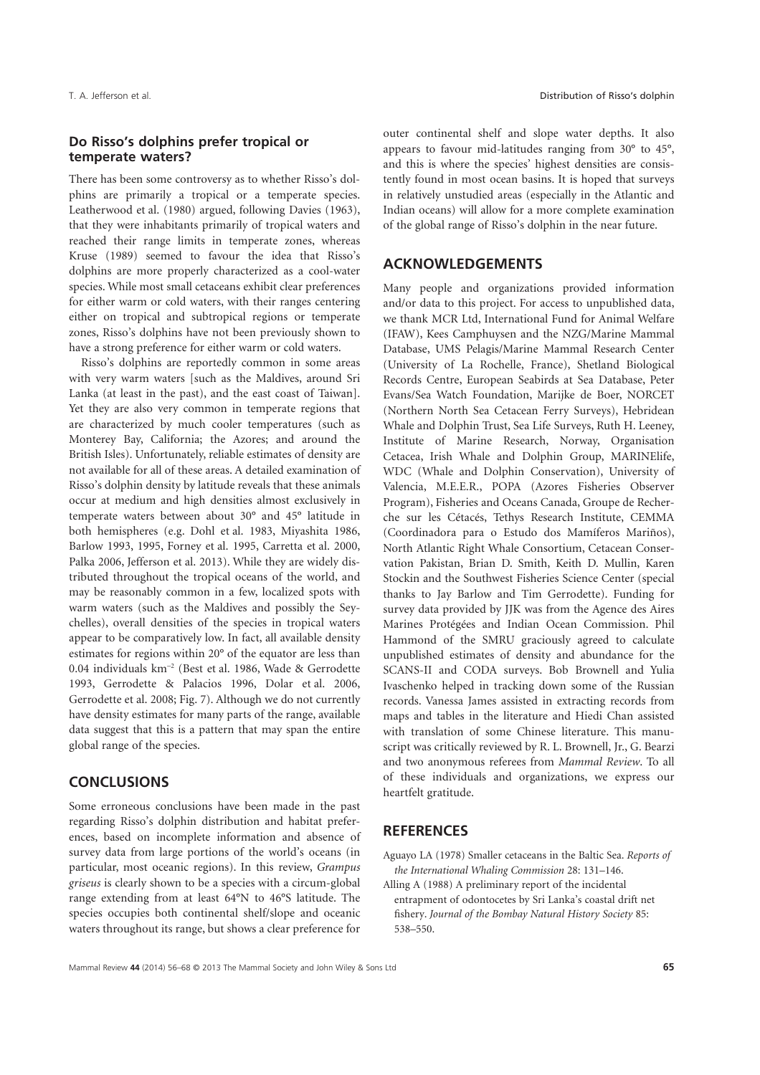#### **Do Risso's dolphins prefer tropical or temperate waters?**

There has been some controversy as to whether Risso's dolphins are primarily a tropical or a temperate species. Leatherwood et al. (1980) argued, following Davies (1963), that they were inhabitants primarily of tropical waters and reached their range limits in temperate zones, whereas Kruse (1989) seemed to favour the idea that Risso's dolphins are more properly characterized as a cool-water species. While most small cetaceans exhibit clear preferences for either warm or cold waters, with their ranges centering either on tropical and subtropical regions or temperate zones, Risso's dolphins have not been previously shown to have a strong preference for either warm or cold waters.

Risso's dolphins are reportedly common in some areas with very warm waters [such as the Maldives, around Sri Lanka (at least in the past), and the east coast of Taiwan]. Yet they are also very common in temperate regions that are characterized by much cooler temperatures (such as Monterey Bay, California; the Azores; and around the British Isles). Unfortunately, reliable estimates of density are not available for all of these areas. A detailed examination of Risso's dolphin density by latitude reveals that these animals occur at medium and high densities almost exclusively in temperate waters between about 30° and 45° latitude in both hemispheres (e.g. Dohl et al. 1983, Miyashita 1986, Barlow 1993, 1995, Forney et al. 1995, Carretta et al. 2000, Palka 2006, Jefferson et al. 2013). While they are widely distributed throughout the tropical oceans of the world, and may be reasonably common in a few, localized spots with warm waters (such as the Maldives and possibly the Seychelles), overall densities of the species in tropical waters appear to be comparatively low. In fact, all available density estimates for regions within 20° of the equator are less than 0.04 individuals km-<sup>2</sup> (Best et al. 1986, Wade & Gerrodette 1993, Gerrodette & Palacios 1996, Dolar et al. 2006, Gerrodette et al. 2008; Fig. 7). Although we do not currently have density estimates for many parts of the range, available data suggest that this is a pattern that may span the entire global range of the species.

# **CONCLUSIONS**

Some erroneous conclusions have been made in the past regarding Risso's dolphin distribution and habitat preferences, based on incomplete information and absence of survey data from large portions of the world's oceans (in particular, most oceanic regions). In this review, *Grampus griseus* is clearly shown to be a species with a circum-global range extending from at least 64°N to 46°S latitude. The species occupies both continental shelf/slope and oceanic waters throughout its range, but shows a clear preference for

outer continental shelf and slope water depths. It also appears to favour mid-latitudes ranging from 30° to 45°, and this is where the species' highest densities are consistently found in most ocean basins. It is hoped that surveys in relatively unstudied areas (especially in the Atlantic and Indian oceans) will allow for a more complete examination of the global range of Risso's dolphin in the near future.

# **ACKNOWLEDGEMENTS**

Many people and organizations provided information and/or data to this project. For access to unpublished data, we thank MCR Ltd, International Fund for Animal Welfare (IFAW), Kees Camphuysen and the NZG/Marine Mammal Database, UMS Pelagis/Marine Mammal Research Center (University of La Rochelle, France), Shetland Biological Records Centre, European Seabirds at Sea Database, Peter Evans/Sea Watch Foundation, Marijke de Boer, NORCET (Northern North Sea Cetacean Ferry Surveys), Hebridean Whale and Dolphin Trust, Sea Life Surveys, Ruth H. Leeney, Institute of Marine Research, Norway, Organisation Cetacea, Irish Whale and Dolphin Group, MARINElife, WDC (Whale and Dolphin Conservation), University of Valencia, M.E.E.R., POPA (Azores Fisheries Observer Program), Fisheries and Oceans Canada, Groupe de Recherche sur les Cétacés, Tethys Research Institute, CEMMA (Coordinadora para o Estudo dos Mamíferos Mariños), North Atlantic Right Whale Consortium, Cetacean Conservation Pakistan, Brian D. Smith, Keith D. Mullin, Karen Stockin and the Southwest Fisheries Science Center (special thanks to Jay Barlow and Tim Gerrodette). Funding for survey data provided by JJK was from the Agence des Aires Marines Protégées and Indian Ocean Commission. Phil Hammond of the SMRU graciously agreed to calculate unpublished estimates of density and abundance for the SCANS-II and CODA surveys. Bob Brownell and Yulia Ivaschenko helped in tracking down some of the Russian records. Vanessa James assisted in extracting records from maps and tables in the literature and Hiedi Chan assisted with translation of some Chinese literature. This manuscript was critically reviewed by R. L. Brownell, Jr., G. Bearzi and two anonymous referees from *Mammal Review*. To all of these individuals and organizations, we express our heartfelt gratitude.

# **REFERENCES**

- Aguayo LA (1978) Smaller cetaceans in the Baltic Sea. *Reports of the International Whaling Commission* 28: 131–146.
- Alling A (1988) A preliminary report of the incidental entrapment of odontocetes by Sri Lanka's coastal drift net fishery. *Journal of the Bombay Natural History Society* 85: 538–550.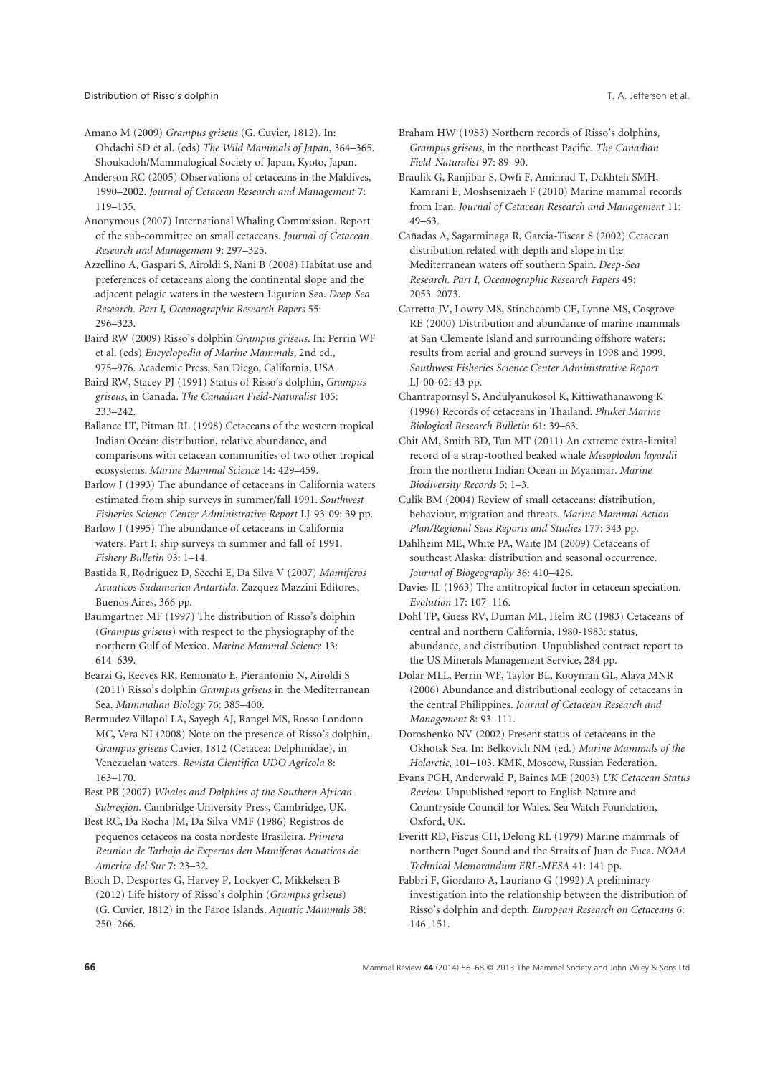Amano M (2009) *Grampus griseus* (G. Cuvier, 1812). In: Ohdachi SD et al. (eds) *The Wild Mammals of Japan*, 364–365. Shoukadoh/Mammalogical Society of Japan, Kyoto, Japan.

Anderson RC (2005) Observations of cetaceans in the Maldives, 1990–2002. *Journal of Cetacean Research and Management* 7: 119–135.

Anonymous (2007) International Whaling Commission. Report of the sub-committee on small cetaceans. *Journal of Cetacean Research and Management* 9: 297–325.

Azzellino A, Gaspari S, Airoldi S, Nani B (2008) Habitat use and preferences of cetaceans along the continental slope and the adjacent pelagic waters in the western Ligurian Sea. *Deep-Sea Research. Part I, Oceanographic Research Papers* 55: 296–323.

Baird RW (2009) Risso's dolphin *Grampus griseus*. In: Perrin WF et al. (eds) *Encyclopedia of Marine Mammals*, 2nd ed., 975–976. Academic Press, San Diego, California, USA.

Baird RW, Stacey PJ (1991) Status of Risso's dolphin, *Grampus griseus*, in Canada. *The Canadian Field-Naturalist* 105: 233–242.

Ballance LT, Pitman RL (1998) Cetaceans of the western tropical Indian Ocean: distribution, relative abundance, and comparisons with cetacean communities of two other tropical ecosystems. *Marine Mammal Science* 14: 429–459.

Barlow J (1993) The abundance of cetaceans in California waters estimated from ship surveys in summer/fall 1991. *Southwest Fisheries Science Center Administrative Report* LJ-93-09: 39 pp.

Barlow J (1995) The abundance of cetaceans in California waters. Part I: ship surveys in summer and fall of 1991. *Fishery Bulletin* 93: 1–14.

Bastida R, Rodriguez D, Secchi E, Da Silva V (2007) *Mamiferos Acuaticos Sudamerica Antartida*. Zazquez Mazzini Editores, Buenos Aires, 366 pp.

Baumgartner MF (1997) The distribution of Risso's dolphin (*Grampus griseus*) with respect to the physiography of the northern Gulf of Mexico. *Marine Mammal Science* 13: 614–639.

Bearzi G, Reeves RR, Remonato E, Pierantonio N, Airoldi S (2011) Risso's dolphin *Grampus griseus* in the Mediterranean Sea. *Mammalian Biology* 76: 385–400.

Bermudez Villapol LA, Sayegh AJ, Rangel MS, Rosso Londono MC, Vera NI (2008) Note on the presence of Risso's dolphin, *Grampus griseus* Cuvier, 1812 (Cetacea: Delphinidae), in Venezuelan waters. *Revista Cientifica UDO Agricola* 8: 163–170.

Best PB (2007) *Whales and Dolphins of the Southern African Subregion*. Cambridge University Press, Cambridge, UK.

Best RC, Da Rocha JM, Da Silva VMF (1986) Registros de pequenos cetaceos na costa nordeste Brasileira. *Primera Reunion de Tarbajo de Expertos den Mamiferos Acuaticos de America del Sur* 7: 23–32.

Bloch D, Desportes G, Harvey P, Lockyer C, Mikkelsen B (2012) Life history of Risso's dolphin (*Grampus griseus*) (G. Cuvier, 1812) in the Faroe Islands. *Aquatic Mammals* 38: 250–266.

Braham HW (1983) Northern records of Risso's dolphins, *Grampus griseus*, in the northeast Pacific. *The Canadian Field-Naturalist* 97: 89–90.

Braulik G, Ranjibar S, Owfi F, Aminrad T, Dakhteh SMH, Kamrani E, Moshsenizaeh F (2010) Marine mammal records from Iran. *Journal of Cetacean Research and Management* 11: 49–63.

Cañadas A, Sagarminaga R, Garcia-Tiscar S (2002) Cetacean distribution related with depth and slope in the Mediterranean waters off southern Spain. *Deep-Sea Research. Part I, Oceanographic Research Papers* 49: 2053–2073.

Carretta JV, Lowry MS, Stinchcomb CE, Lynne MS, Cosgrove RE (2000) Distribution and abundance of marine mammals at San Clemente Island and surrounding offshore waters: results from aerial and ground surveys in 1998 and 1999. *Southwest Fisheries Science Center Administrative Report* LJ-00-02: 43 pp.

Chantrapornsyl S, Andulyanukosol K, Kittiwathanawong K (1996) Records of cetaceans in Thailand. *Phuket Marine Biological Research Bulletin* 61: 39–63.

Chit AM, Smith BD, Tun MT (2011) An extreme extra-limital record of a strap-toothed beaked whale *Mesoplodon layardii* from the northern Indian Ocean in Myanmar. *Marine Biodiversity Records* 5: 1–3.

Culik BM (2004) Review of small cetaceans: distribution, behaviour, migration and threats. *Marine Mammal Action Plan/Regional Seas Reports and Studies* 177: 343 pp.

Dahlheim ME, White PA, Waite JM (2009) Cetaceans of southeast Alaska: distribution and seasonal occurrence. *Journal of Biogeography* 36: 410–426.

Davies JL (1963) The antitropical factor in cetacean speciation. *Evolution* 17: 107–116.

Dohl TP, Guess RV, Duman ML, Helm RC (1983) Cetaceans of central and northern California, 1980-1983: status, abundance, and distribution. Unpublished contract report to the US Minerals Management Service, 284 pp.

Dolar MLL, Perrin WF, Taylor BL, Kooyman GL, Alava MNR (2006) Abundance and distributional ecology of cetaceans in the central Philippines. *Journal of Cetacean Research and Management* 8: 93–111.

Doroshenko NV (2002) Present status of cetaceans in the Okhotsk Sea. In: Belkovich NM (ed.) *Marine Mammals of the Holarctic*, 101–103. KMK, Moscow, Russian Federation.

Evans PGH, Anderwald P, Baines ME (2003) *UK Cetacean Status Review*. Unpublished report to English Nature and Countryside Council for Wales. Sea Watch Foundation, Oxford, UK.

Everitt RD, Fiscus CH, Delong RL (1979) Marine mammals of northern Puget Sound and the Straits of Juan de Fuca. *NOAA Technical Memorandum ERL-MESA* 41: 141 pp.

Fabbri F, Giordano A, Lauriano G (1992) A preliminary investigation into the relationship between the distribution of Risso's dolphin and depth. *European Research on Cetaceans* 6: 146–151.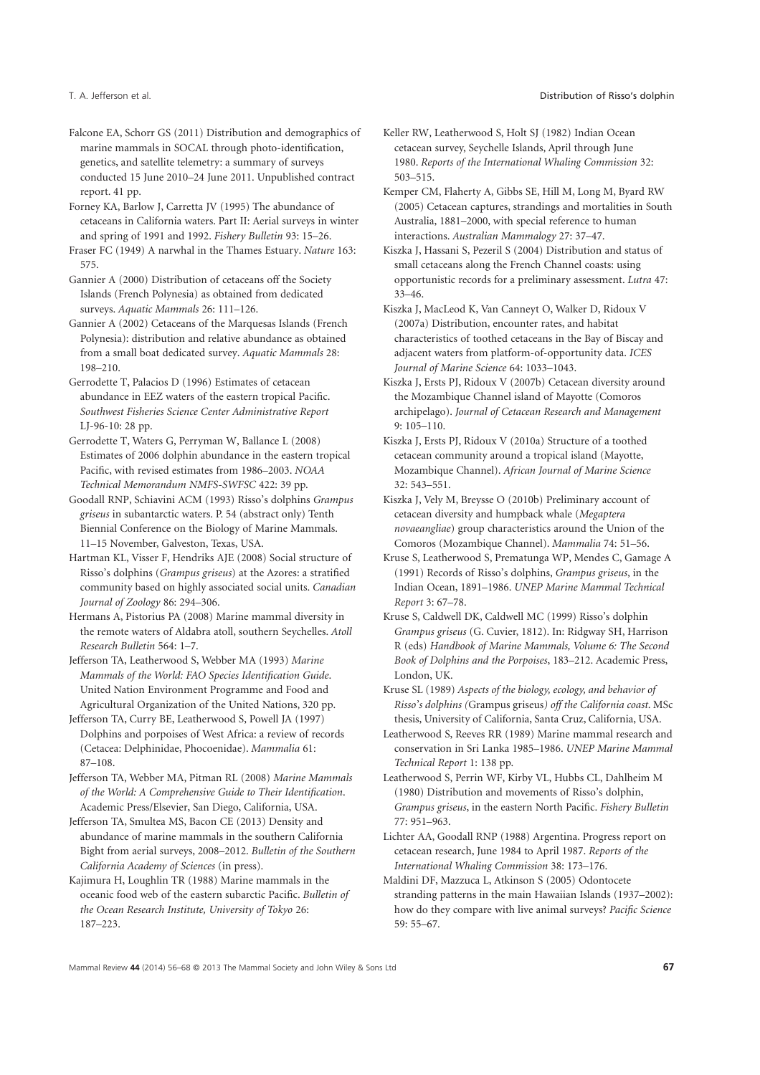- Falcone EA, Schorr GS (2011) Distribution and demographics of marine mammals in SOCAL through photo-identification, genetics, and satellite telemetry: a summary of surveys conducted 15 June 2010–24 June 2011. Unpublished contract report. 41 pp.
- Forney KA, Barlow J, Carretta JV (1995) The abundance of cetaceans in California waters. Part II: Aerial surveys in winter and spring of 1991 and 1992. *Fishery Bulletin* 93: 15–26.
- Fraser FC (1949) A narwhal in the Thames Estuary. *Nature* 163: 575.
- Gannier A (2000) Distribution of cetaceans off the Society Islands (French Polynesia) as obtained from dedicated surveys. *Aquatic Mammals* 26: 111–126.
- Gannier A (2002) Cetaceans of the Marquesas Islands (French Polynesia): distribution and relative abundance as obtained from a small boat dedicated survey. *Aquatic Mammals* 28: 198–210.
- Gerrodette T, Palacios D (1996) Estimates of cetacean abundance in EEZ waters of the eastern tropical Pacific. *Southwest Fisheries Science Center Administrative Report* LJ-96-10: 28 pp.
- Gerrodette T, Waters G, Perryman W, Ballance L (2008) Estimates of 2006 dolphin abundance in the eastern tropical Pacific, with revised estimates from 1986–2003. *NOAA Technical Memorandum NMFS-SWFSC* 422: 39 pp.
- Goodall RNP, Schiavini ACM (1993) Risso's dolphins *Grampus griseus* in subantarctic waters. P. 54 (abstract only) Tenth Biennial Conference on the Biology of Marine Mammals. 11–15 November, Galveston, Texas, USA.
- Hartman KL, Visser F, Hendriks AJE (2008) Social structure of Risso's dolphins (*Grampus griseus*) at the Azores: a stratified community based on highly associated social units. *Canadian Journal of Zoology* 86: 294–306.
- Hermans A, Pistorius PA (2008) Marine mammal diversity in the remote waters of Aldabra atoll, southern Seychelles. *Atoll Research Bulletin* 564: 1–7.
- Jefferson TA, Leatherwood S, Webber MA (1993) *Marine Mammals of the World: FAO Species Identification Guide*. United Nation Environment Programme and Food and Agricultural Organization of the United Nations, 320 pp.
- Jefferson TA, Curry BE, Leatherwood S, Powell JA (1997) Dolphins and porpoises of West Africa: a review of records (Cetacea: Delphinidae, Phocoenidae). *Mammalia* 61: 87–108.
- Jefferson TA, Webber MA, Pitman RL (2008) *Marine Mammals of the World: A Comprehensive Guide to Their Identification*. Academic Press/Elsevier, San Diego, California, USA.
- Jefferson TA, Smultea MS, Bacon CE (2013) Density and abundance of marine mammals in the southern California Bight from aerial surveys, 2008–2012. *Bulletin of the Southern California Academy of Sciences* (in press).
- Kajimura H, Loughlin TR (1988) Marine mammals in the oceanic food web of the eastern subarctic Pacific. *Bulletin of the Ocean Research Institute, University of Tokyo* 26: 187–223.
- Keller RW, Leatherwood S, Holt SJ (1982) Indian Ocean cetacean survey, Seychelle Islands, April through June 1980. *Reports of the International Whaling Commission* 32: 503–515.
- Kemper CM, Flaherty A, Gibbs SE, Hill M, Long M, Byard RW (2005) Cetacean captures, strandings and mortalities in South Australia, 1881–2000, with special reference to human interactions. *Australian Mammalogy* 27: 37–47.
- Kiszka J, Hassani S, Pezeril S (2004) Distribution and status of small cetaceans along the French Channel coasts: using opportunistic records for a preliminary assessment. *Lutra* 47: 33–46.
- Kiszka J, MacLeod K, Van Canneyt O, Walker D, Ridoux V (2007a) Distribution, encounter rates, and habitat characteristics of toothed cetaceans in the Bay of Biscay and adjacent waters from platform-of-opportunity data. *ICES Journal of Marine Science* 64: 1033–1043.
- Kiszka J, Ersts PJ, Ridoux V (2007b) Cetacean diversity around the Mozambique Channel island of Mayotte (Comoros archipelago). *Journal of Cetacean Research and Management* 9: 105–110.
- Kiszka J, Ersts PJ, Ridoux V (2010a) Structure of a toothed cetacean community around a tropical island (Mayotte, Mozambique Channel). *African Journal of Marine Science* 32: 543–551.
- Kiszka J, Vely M, Breysse O (2010b) Preliminary account of cetacean diversity and humpback whale (*Megaptera novaeangliae*) group characteristics around the Union of the Comoros (Mozambique Channel). *Mammalia* 74: 51–56.
- Kruse S, Leatherwood S, Prematunga WP, Mendes C, Gamage A (1991) Records of Risso's dolphins, *Grampus griseus*, in the Indian Ocean, 1891–1986. *UNEP Marine Mammal Technical Report* 3: 67–78.
- Kruse S, Caldwell DK, Caldwell MC (1999) Risso's dolphin *Grampus griseus* (G. Cuvier, 1812). In: Ridgway SH, Harrison R (eds) *Handbook of Marine Mammals, Volume 6: The Second Book of Dolphins and the Porpoises*, 183–212. Academic Press, London, UK.
- Kruse SL (1989) *Aspects of the biology, ecology, and behavior of Risso's dolphins (*Grampus griseus*) off the California coast*. MSc thesis, University of California, Santa Cruz, California, USA.
- Leatherwood S, Reeves RR (1989) Marine mammal research and conservation in Sri Lanka 1985–1986. *UNEP Marine Mammal Technical Report* 1: 138 pp.
- Leatherwood S, Perrin WF, Kirby VL, Hubbs CL, Dahlheim M (1980) Distribution and movements of Risso's dolphin, *Grampus griseus*, in the eastern North Pacific. *Fishery Bulletin* 77: 951–963.
- Lichter AA, Goodall RNP (1988) Argentina. Progress report on cetacean research, June 1984 to April 1987. *Reports of the International Whaling Commission* 38: 173–176.
- Maldini DF, Mazzuca L, Atkinson S (2005) Odontocete stranding patterns in the main Hawaiian Islands (1937–2002): how do they compare with live animal surveys? *Pacific Science* 59: 55–67.